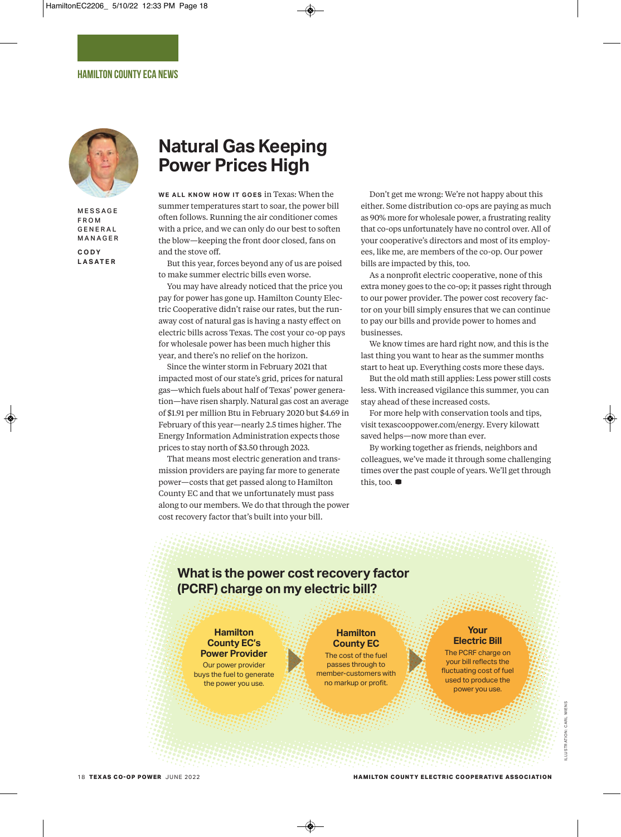

**MESSAGE** F R O M G E N E R A L **MANAGER C O D Y**

**L A S AT E R**

# **Natural Gas Keeping Power Prices High**

WE ALL KNOW HOW IT GOES in Texas: When the summer temperatures start to soar, the power bill often follows. Running the air conditioner comes with a price, and we can only do our best to soften the blow—keeping the front door closed, fans on and the stove off.

But this year, forces beyond any of us are poised to make summer electric bills even worse.

You may have already noticed that the price you pay for power has gone up. Hamilton County Electric Cooperative didn't raise our rates, but the runaway cost of natural gas is having a nasty effect on electric bills across Texas. The cost your co-op pays for wholesale power has been much higher this year, and there's no relief on the horizon.

Since the winter storm in February 2021 that impacted most of our state's grid, prices for natural gas—which fuels about half of Texas' power generation—have risen sharply. Natural gas cost an average of \$1.91 per million Btu in February 2020 but \$4.69 in February of this year—nearly 2.5 times higher. The Energy Information Administration expects those prices to stay north of \$3.50 through 2023.

That means most electric generation and transmission providers are paying far more to generate power—costs that get passed along to Hamilton County EC and that we unfortunately must pass along to our members. We do that through the power cost recovery factor that's built into your bill.

Don't get me wrong: We're not happy about this either. Some distribution co-ops are paying as much as 90% more for wholesale power, a frustrating reality that co-ops unfortunately have no control over. All of your cooperative's directors and most of its employees, like me, are members of the co-op. Our power bills are impacted by this, too.

As a nonprofit electric cooperative, none of this extra money goes to the co-op; it passes right through to our power provider. The power cost recovery factor on your bill simply ensures that we can continue to pay our bills and provide power to homes and businesses.

We know times are hard right now, and this is the last thing you want to hear as the summer months start to heat up. Everything costs more these days.

But the old math still applies: Less power still costs less. With increased vigilance this summer, you can stay ahead of these increased costs.

For more help with conservation tools and tips, visit texascooppower.com/energy. Every kilowatt saved helps—now more than ever.

By working together as friends, neighbors and colleagues, we've made it through some challenging times over the past couple of years. We'll get through this, too. **D**

## **What is the power cost recovery factor (PCRF) charge on my electric bill?**

#### **Hamilton County EC's Power Provider**

Our power provider buys the fuel to generate the power you use.

**Hamilton County EC**

The cost of the fuel passes through to member-customers with no markup or profit.

#### **Your Electric Bill**

The PCRF charge on your bill reflects the fluctuating cost of fuel used to produce the power you use.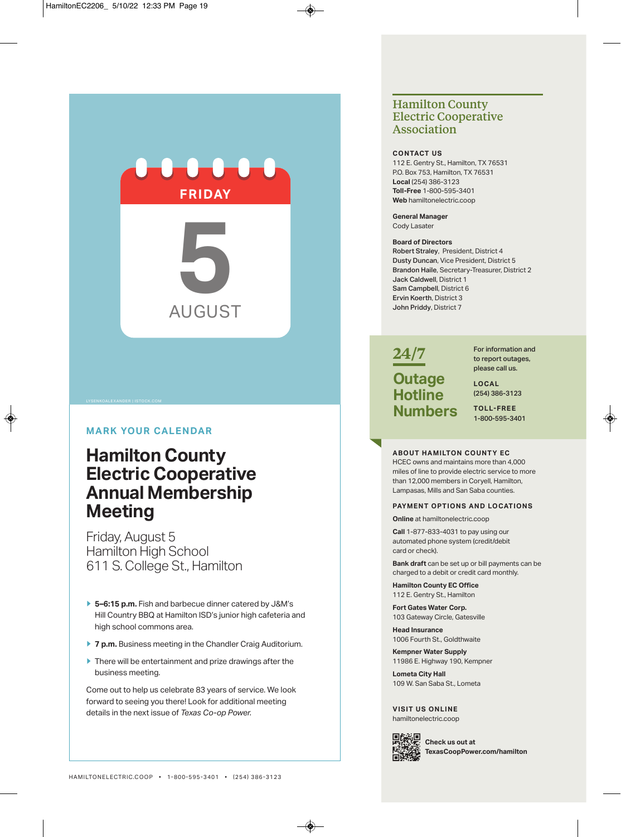

#### **mArk Your cAlenDAr**

# **Hamilton county electric cooperative Annual membership meeting**

Friday, August 5 Hamilton High School 611 S. College St., Hamilton

- **e 5–6:15 p.m.** Fish and barbecue dinner catered by J&m's Hill Country BBQ at Hamilton ISD's junior high cafeteria and high school commons area.
- **7 p.m.** Business meeting in the Chandler Craig Auditorium.
- **There will be entertainment and prize drawings after the** business meeting.

come out to help us celebrate 83 years of service. We look forward to seeing you there! Look for additional meeting details in the next issue of *Texas Co-op Power.*

### **Hamilton County Electric Cooperative Association**

#### **conTAcT us**

112 E. Gentry St., Hamilton, TX 76531 P.O. Box 753, Hamilton, TX 76531 **local** (254) 386-3123 **Toll-free** 1-800-595-3401 **Web** hamiltonelectric.coop

**General manager** cody Lasater

#### **board of Directors**

Robert Straley, President, District 4 Dusty Duncan, Vice President, District 5 Brandon Haile, Secretary-Treasurer, District 2 Jack Caldwell, District 1 Sam Campbell, District 6 Ervin Koerth, District 3 John Priddy, District 7

# **24/7 outage Hotline numbers**

For information and to report outages, please call us.

**locAl** (254) 386-3123

**Toll-free** 1-800-595-3401

#### **ABOUT HAMILTON COUNTY EC**

HCEC owns and maintains more than 4,000 miles of line to provide electric service to more than 12,000 members in Coryell, Hamilton, Lampasas, Mills and San Saba counties.

#### **PAYmenT oPTions AnD locATions**

**online** at hamiltonelectric.coop

**call** 1-877-833-4031 to pay using our automated phone system (credit/debit card or check).

**bank draft** can be set up or bill payments can be charged to a debit or credit card monthly.

**Hamilton county ec office** 112 E. Gentry St., Hamilton

**fort Gates Water corp.** 103 Gateway Circle, Gatesville

**Head insurance** 1006 Fourth St., Goldthwaite

**kempner Water supply** 11986 e. Highway 190, kempner

**lometa city Hall** 109 W. San Saba St., Lometa

**VisiT us online** hamiltonelectric.coop



**check us out at TexascoopPower.com/hamilton**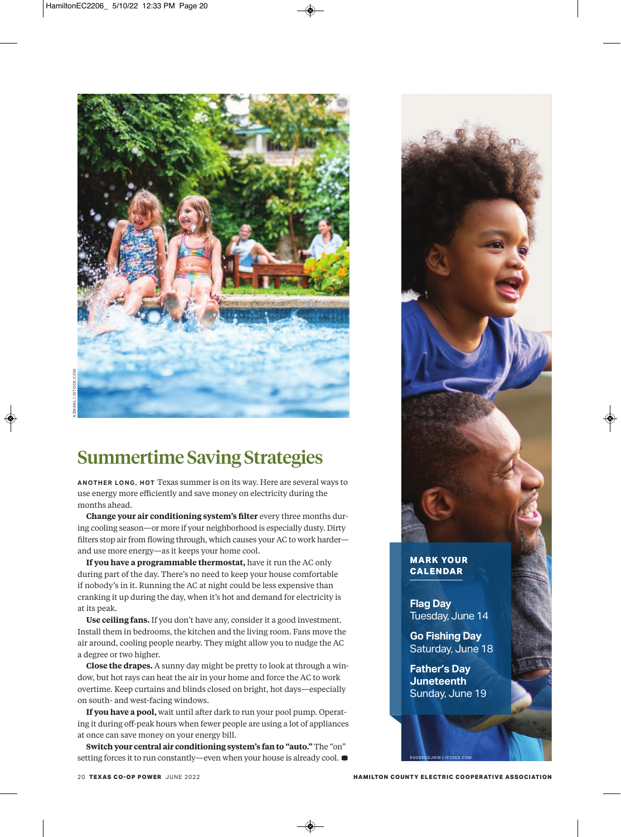

# **Summertime Saving Strategies**

**A N OT H E R LO N G , H OT** Texas summer is on its way. Here are several ways to use energy more efficiently and save money on electricity during the months ahead.

**Change your air conditioning system's filter** every three months during cooling season—or more if your neighborhood is especially dusty. Dirty filters stop air from flowing through, which causes your AC to work harder and use more energy—as it keeps your home cool.

**If you have a programmable thermostat,** have it run the AC only during part of the day. There's no need to keep your house comfortable if nobody's in it. Running the AC at night could be less expensive than cranking it up during the day, when it's hot and demand for electricity is at its peak.

**Use ceiling fans.** If you don't have any, consider it a good investment. Install them in bedrooms, the kitchen and the living room. Fans move the air around, cooling people nearby. They might allow you to nudge the AC a degree or two higher.

**Close the drapes.** A sunny day might be pretty to look at through a window, but hot rays can heat the air in your home and force the AC to work overtime. Keep curtains and blinds closed on bright, hot days—especially on south- and west-facing windows.

**If you have a pool,** wait until after dark to run your pool pump. Operating it during off-peak hours when fewer people are using a lot of appliances at once can save money on your energy bill.

**Switch your central air conditioning system's fan to "auto."** The "on" setting forces it to run constantly—even when your house is already cool. **D**



#### **MARK YOUR CALENDAR**

**Flag Day** Tuesday, June 14

**Go Fishing Day** Saturday, June 18

**Father's Day Juneteenth** Sunday, June 19

EGGEEGGJIE W | ISTOCK .COM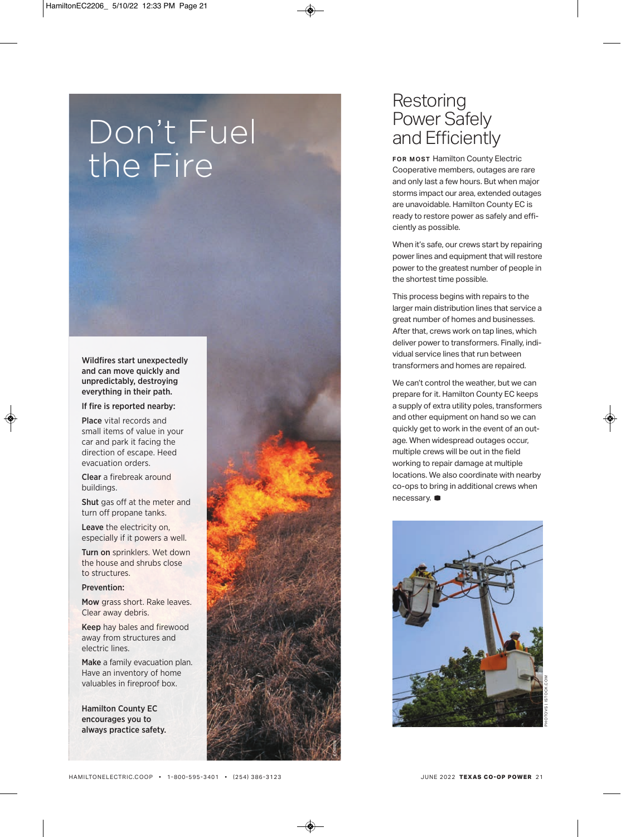# Don't Fuel the Fire

Wildfires start unexpectedly and can move quickly and unpredictably, destroying everything in their path.

If fire is reported nearby:

Place vital records and small items of value in your car and park it facing the direction of escape. Heed evacuation orders.

Clear a firebreak around buildings.

Shut gas off at the meter and turn off propane tanks.

Leave the electricity on, especially if it powers a well.

Turn on sprinklers. Wet down the house and shrubs close to structures.

#### Prevention:

Mow grass short. Rake leaves. Clear away debris.

Keep hay bales and firewood away from structures and electric lines.

Make a family evacuation plan. Have an inventory of home valuables in fireproof box.

Hamilton County EC encourages you to always practice safety.



## Restoring Power Safely and Efficiently

**FOR MOST Hamilton County Electric** Cooperative members, outages are rare and only last a few hours. But when major storms impact our area, extended outages are unavoidable. Hamilton County EC is ready to restore power as safely and efficiently as possible.

When it's safe, our crews start by repairing power lines and equipment that will restore power to the greatest number of people in the shortest time possible.

This process begins with repairs to the larger main distribution lines that service a great number of homes and businesses. After that, crews work on tap lines, which deliver power to transformers. Finally, individual service lines that run between transformers and homes are repaired.

We can't control the weather, but we can prepare for it. Hamilton County EC keeps a supply of extra utility poles, transformers and other equipment on hand so we can quickly get to work in the event of an outage. When widespread outages occur, multiple crews will be out in the field working to repair damage at multiple locations. We also coordinate with nearby co-ops to bring in additional crews when necessary. **D**

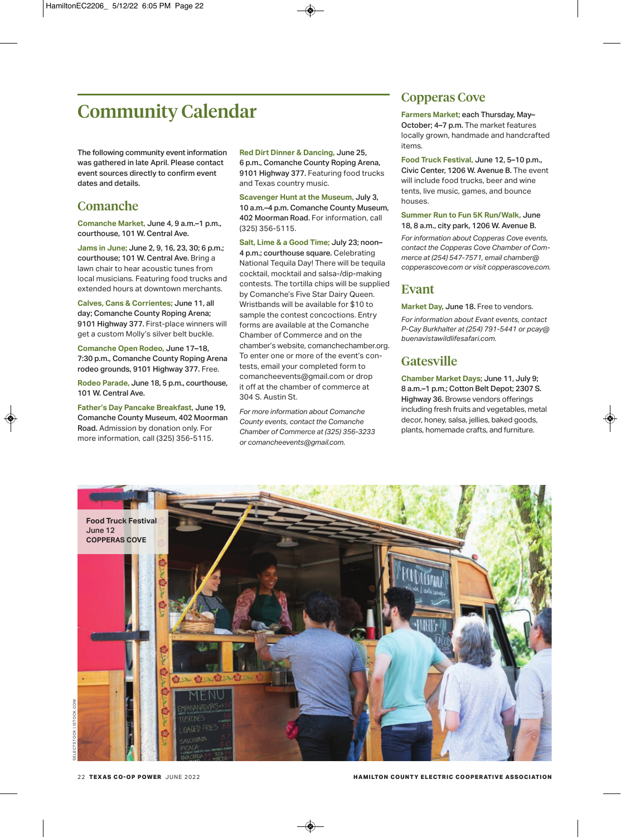# **Community Calendar**

The following community event information was gathered in late April. Please contact event sources directly to confirm event dates and details.

## **Comanche**

**Comanche Market,** June 4, 9 a.m.–1 p.m., courthouse, 101 W. Central Ave.

**Jams in June;** June 2, 9, 16, 23, 30; 6 p.m.; courthouse; 101 W. Central Ave. Bring a lawn chair to hear acoustic tunes from local musicians. Featuring food trucks and extended hours at downtown merchants.

**Calves, Cans & Corrientes;** June 11, all day; Comanche County Roping Arena; 9101 Highway 377. First-place winners will get a custom molly's silver belt buckle.

**Comanche Open Rodeo,** June 17–18, 7:30 p.m., Comanche County Roping Arena rodeo grounds, 9101 Highway 377. Free.

**Rodeo Parade,** June 18, 5 p.m., courthouse, 101 W. Central Ave.

**Father's Day Pancake Breakfast,** June 19, Comanche County Museum, 402 Moorman Road. Admission by donation only. For more information, call (325) 356-5115.

**Red Dirt Dinner & Dancing,** June 25, 6 p.m., Comanche County Roping Arena, 9101 Highway 377. Featuring food trucks and Texas country music.

**Scavenger Hunt at the Museum,** July 3, 10 a.m.–4 p.m. Comanche County Museum, 402 Moorman Road. For information, call (325) 356-5115.

**Salt, Lime & a Good Time;** July 23; noon– 4 p.m.; courthouse square. Celebrating National Tequila Day! There will be tequila cocktail, mocktail and salsa-/dip-making contests. The tortilla chips will be supplied by comanche's Five Star Dairy Queen. Wristbands will be available for \$10 to sample the contest concoctions. Entry forms are available at the comanche chamber of commerce and on the chamber's website, comanchechamber.org. To enter one or more of the event's contests, email your completed form to comancheevents@gmail.com or drop it off at the chamber of commerce at 304 S. Austin St.

*For more information about Comanche County events, contact the Comanche Chamber of Commerce at (325) 356-3233 or comancheevents@gmail.com.*

## **Copperas Cove**

**Farmers Market;** each Thursday, May– October; 4-7 p.m. The market features locally grown, handmade and handcrafted items.

**Food Truck Festival,** June 12, 5–10 p.m., Civic Center, 1206 W. Avenue B. The event will include food trucks, beer and wine tents, live music, games, and bounce houses.

#### **Summer Run to Fun 5K Run/Walk,** June 18, 8 a.m., city park, 1206 W. Avenue B.

*For information about Copperas Cove events, contact the Copperas Cove Chamber of Commerce at (254) 547-7571, email chamber@ copperascove.com or visit copperascove.com.*

## **Evant**

**Market Day,** June 18. Free to vendors.

*For information about Evant events, contact P-Cay Burkhalter at (254) 791-5441 or pcay@ buenavistawildlifesafari.com.*

## **Gatesville**

**Chamber Market Days;** June 11, July 9; 8 a.m.–1 p.m.; Cotton Belt Depot; 2307 S. Highway 36. Browse vendors offerings including fresh fruits and vegetables, metal decor, honey, salsa, jellies, baked goods, plants, homemade crafts, and furniture.